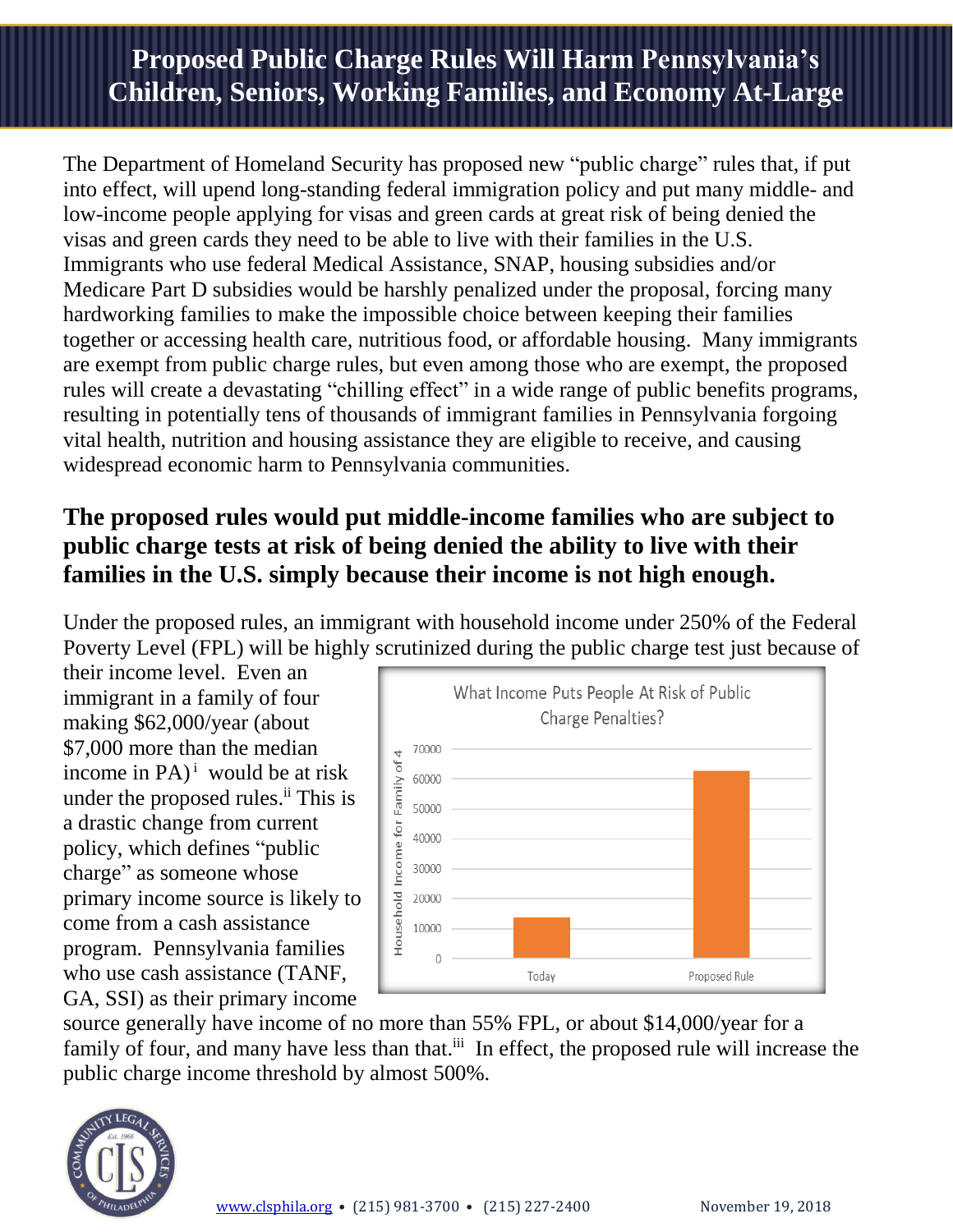# **Proposed Public Charge Rules Will Harm Pennsylvania's Children, Seniors, Working Families, and Economy At-Large**

The Department of Homeland Security has proposed new "public charge" rules that, if put into effect, will upend long-standing federal immigration policy and put many middle- and low-income people applying for visas and green cards at great risk of being denied the visas and green cards they need to be able to live with their families in the U.S. Immigrants who use federal Medical Assistance, SNAP, housing subsidies and/or Medicare Part D subsidies would be harshly penalized under the proposal, forcing many hardworking families to make the impossible choice between keeping their families together or accessing health care, nutritious food, or affordable housing. Many immigrants are exempt from public charge rules, but even among those who are exempt, the proposed rules will create a devastating "chilling effect" in a wide range of public benefits programs, resulting in potentially tens of thousands of immigrant families in Pennsylvania forgoing vital health, nutrition and housing assistance they are eligible to receive, and causing widespread economic harm to Pennsylvania communities.

# **The proposed rules would put middle-income families who are subject to public charge tests at risk of being denied the ability to live with their families in the U.S. simply because their income is not high enough.**

Under the proposed rules, an immigrant with household income under 250% of the Federal Poverty Level (FPL) will be highly scrutinized during the public charge test just because of

their income level. Even an immigrant in a family of four making \$62,000/year (about \$7,000 more than the median income in PA) <sup>i</sup> would be at risk under the proposed rules.<sup>ii</sup> This is a drastic change from current policy, which defines "public charge" as someone whose primary income source is likely to come from a cash assistance program. Pennsylvania families who use cash assistance (TANF, GA, SSI) as their primary income



source generally have income of no more than 55% FPL, or about \$14,000/year for a family of four, and many have less than that.<sup>iii</sup> In effect, the proposed rule will increase the public charge income threshold by almost 500%.

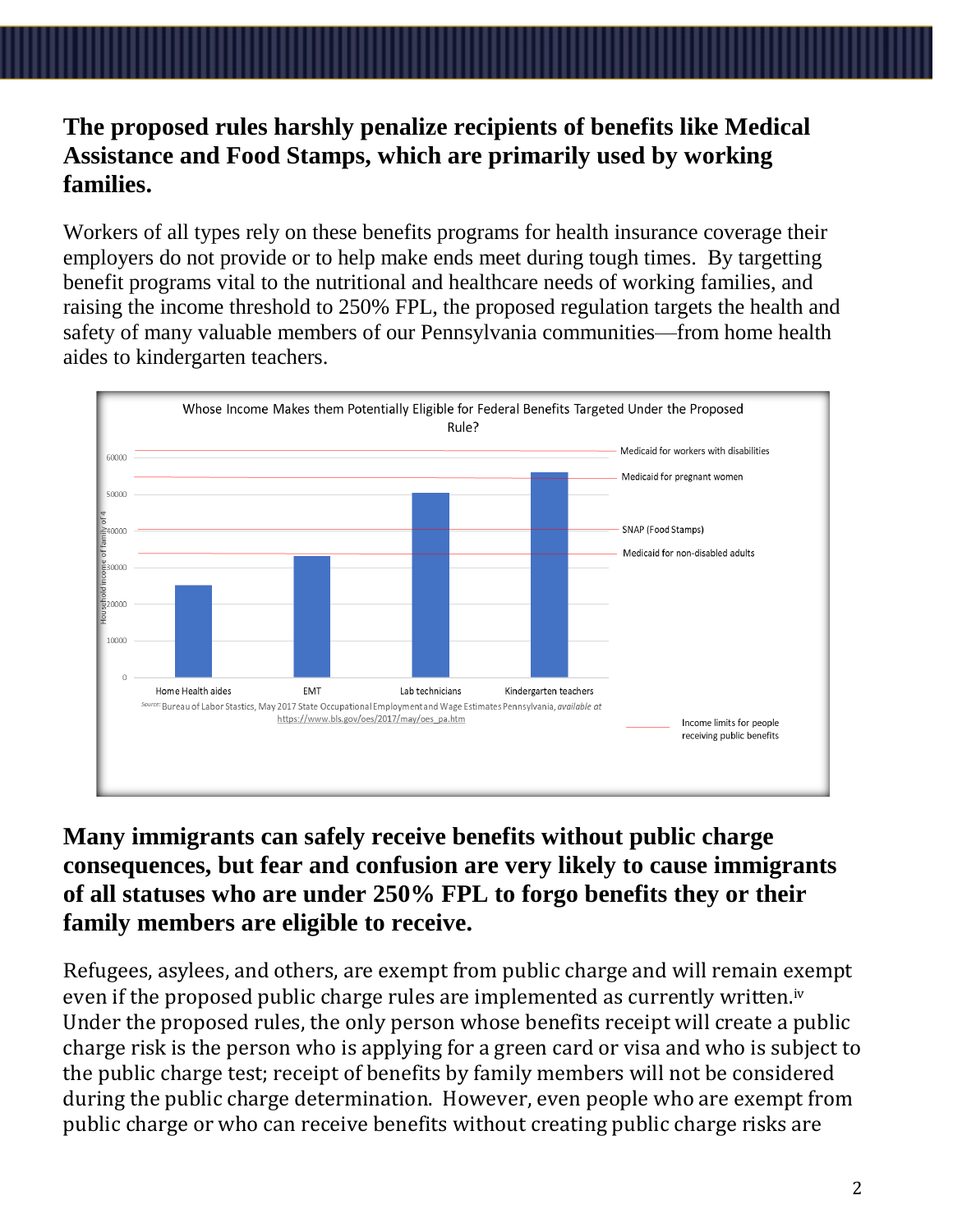#### **The proposed rules harshly penalize recipients of benefits like Medical Assistance and Food Stamps, which are primarily used by working families.**

Workers of all types rely on these benefits programs for health insurance coverage their employers do not provide or to help make ends meet during tough times. By targetting benefit programs vital to the nutritional and healthcare needs of working families, and raising the income threshold to 250% FPL, the proposed regulation targets the health and safety of many valuable members of our Pennsylvania communities—from home health aides to kindergarten teachers.



## **Many immigrants can safely receive benefits without public charge consequences, but fear and confusion are very likely to cause immigrants of all statuses who are under 250% FPL to forgo benefits they or their family members are eligible to receive.**

Refugees, asylees, and others, are exempt from public charge and will remain exempt even if the proposed public charge rules are implemented as currently written.<sup>iv</sup> Under the proposed rules, the only person whose benefits receipt will create a public charge risk is the person who is applying for a green card or visa and who is subject to the public charge test; receipt of benefits by family members will not be considered during the public charge determination. However, even people who are exempt from public charge or who can receive benefits without creating public charge risks are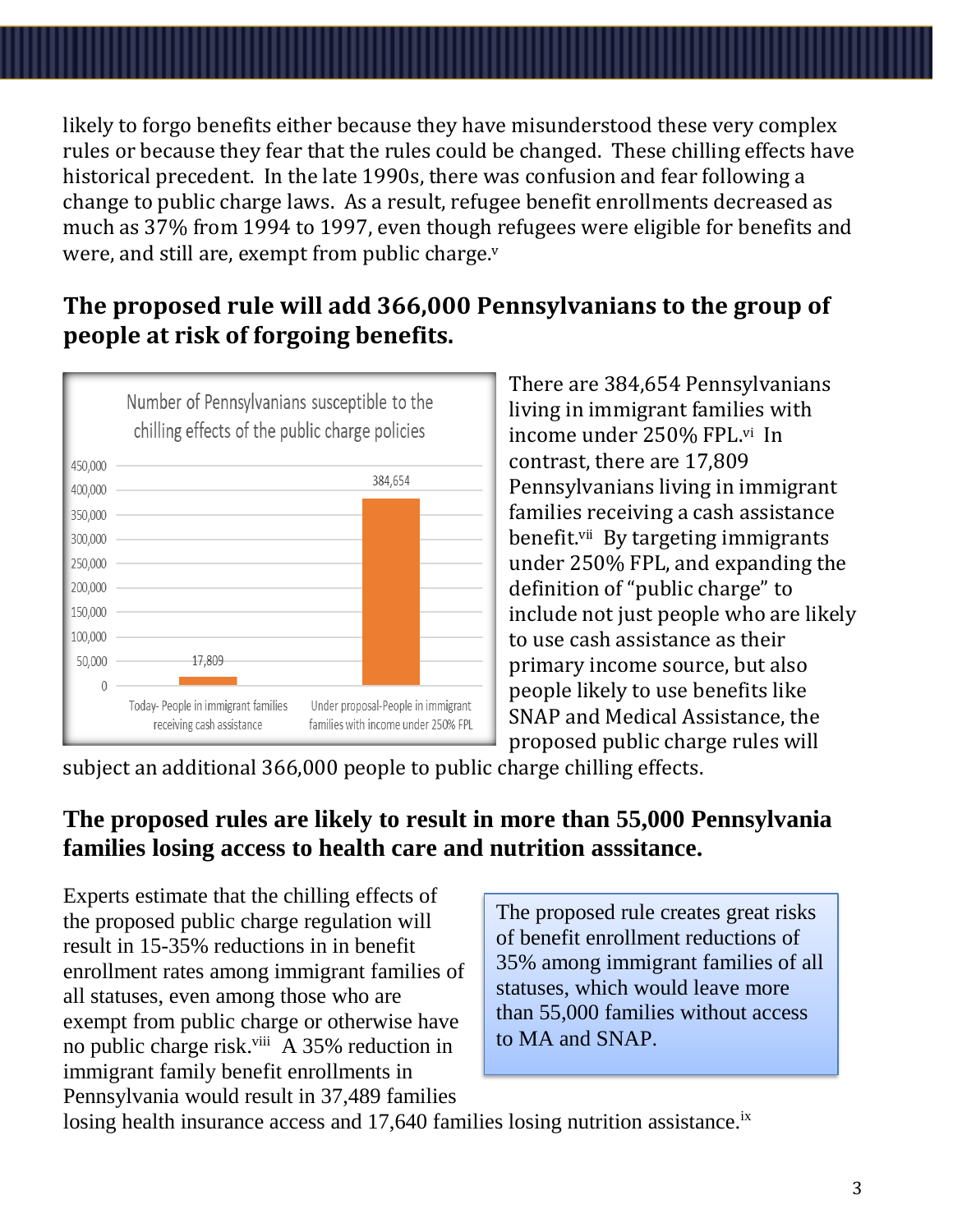likely to forgo benefits either because they have misunderstood these very complex rules or because they fear that the rules could be changed. These chilling effects have historical precedent. In the late 1990s, there was confusion and fear following a change to public charge laws. As a result, refugee benefit enrollments decreased as much as 37% from 1994 to 1997, even though refugees were eligible for benefits and were, and still are, exempt from public charge.<sup>v</sup>

# **The proposed rule will add 366,000 Pennsylvanians to the group of people at risk of forgoing benefits.**



There are 384,654 Pennsylvanians living in immigrant families with income under 250% FPL.vi In contrast, there are 17,809 Pennsylvanians living in immigrant families receiving a cash assistance benefit.<sup>vii</sup> By targeting immigrants under 250% FPL, and expanding the definition of "public charge" to include not just people who are likely to use cash assistance as their primary income source, but also people likely to use benefits like SNAP and Medical Assistance, the proposed public charge rules will

subject an additional 366,000 people to public charge chilling effects.

# **The proposed rules are likely to result in more than 55,000 Pennsylvania families losing access to health care and nutrition asssitance.**

Experts estimate that the chilling effects of the proposed public charge regulation will result in 15-35% reductions in in benefit enrollment rates among immigrant families of all statuses, even among those who are exempt from public charge or otherwise have no public charge risk.<sup>viii</sup> A 35% reduction in immigrant family benefit enrollments in Pennsylvania would result in 37,489 families

The proposed rule creates great risks of benefit enrollment reductions of 35% among immigrant families of all statuses, which would leave more than 55,000 families without access to MA and SNAP.

losing health insurance access and  $17,640$  families losing nutrition assistance.<sup>ix</sup>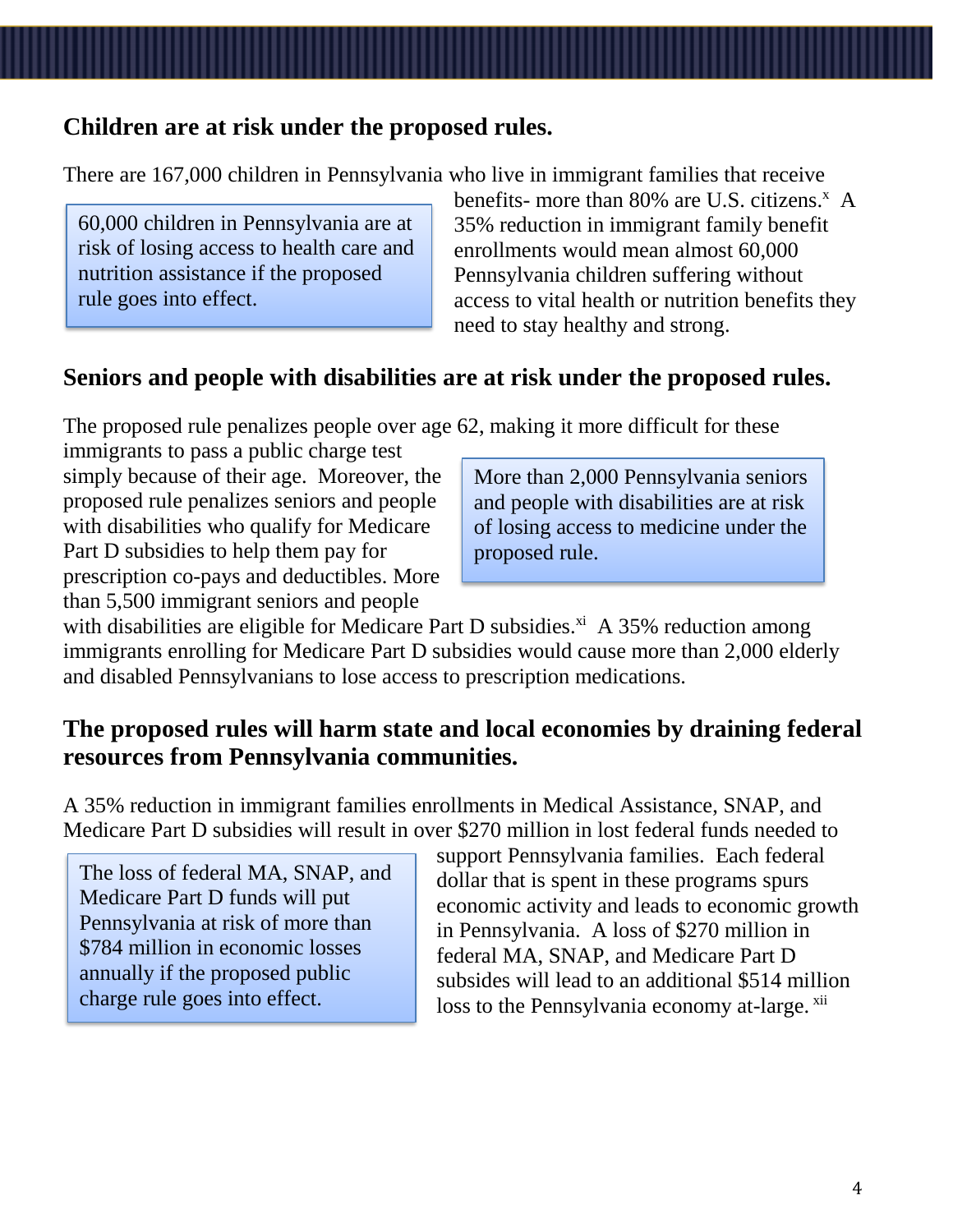#### **Children are at risk under the proposed rules.**

There are 167,000 children in Pennsylvania who live in immigrant families that receive

60,000 children in Pennsylvania are at risk of losing access to health care and nutrition assistance if the proposed rule goes into effect.

benefits- more than  $80\%$  are U.S. citizens.<sup>x</sup> A 35% reduction in immigrant family benefit enrollments would mean almost 60,000 Pennsylvania children suffering without access to vital health or nutrition benefits they need to stay healthy and strong.

#### **Seniors and people with disabilities are at risk under the proposed rules.**

The proposed rule penalizes people over age 62, making it more difficult for these

immigrants to pass a public charge test simply because of their age. Moreover, the proposed rule penalizes seniors and people with disabilities who qualify for Medicare Part D subsidies to help them pay for prescription co-pays and deductibles. More than 5,500 immigrant seniors and people

More than 2,000 Pennsylvania seniors and people with disabilities are at risk of losing access to medicine under the proposed rule.

with disabilities are eligible for Medicare Part D subsidies.<sup>xi</sup> A 35% reduction among immigrants enrolling for Medicare Part D subsidies would cause more than 2,000 elderly and disabled Pennsylvanians to lose access to prescription medications.

#### **The proposed rules will harm state and local economies by draining federal resources from Pennsylvania communities.**

A 35% reduction in immigrant families enrollments in Medical Assistance, SNAP, and Medicare Part D subsidies will result in over \$270 million in lost federal funds needed to

The loss of federal MA, SNAP, and Medicare Part D funds will put Pennsylvania at risk of more than \$784 million in economic losses annually if the proposed public charge rule goes into effect.

support Pennsylvania families. Each federal dollar that is spent in these programs spurs economic activity and leads to economic growth in Pennsylvania. A loss of \$270 million in federal MA, SNAP, and Medicare Part D subsides will lead to an additional \$514 million loss to the Pennsylvania economy at-large.  $xii$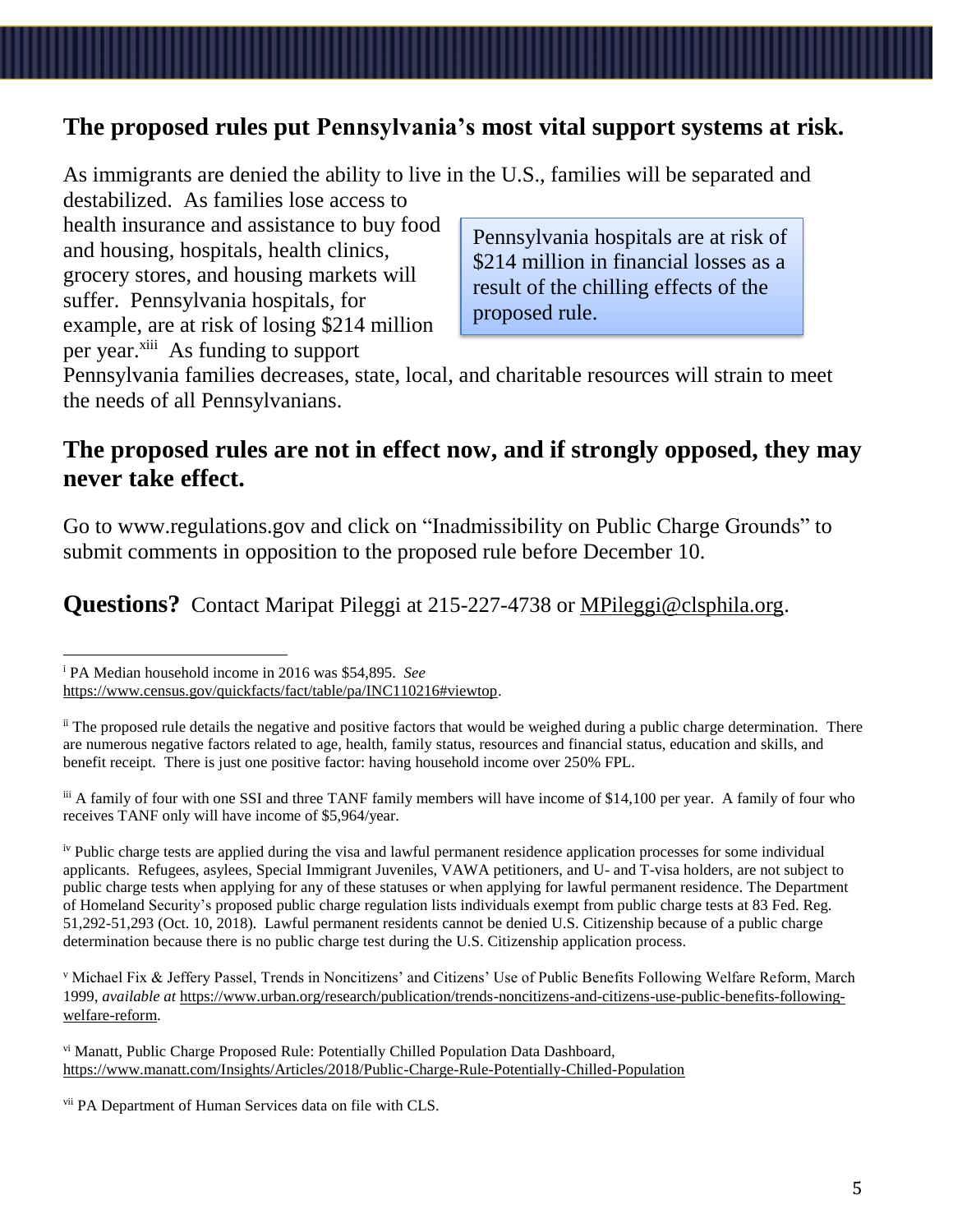## **The proposed rules put Pennsylvania's most vital support systems at risk.**

As immigrants are denied the ability to live in the U.S., families will be separated and destabilized. As families lose access to

health insurance and assistance to buy food and housing, hospitals, health clinics, grocery stores, and housing markets will suffer. Pennsylvania hospitals, for example, are at risk of losing \$214 million per year.<sup>xiii</sup> As funding to support

Pennsylvania hospitals are at risk of \$214 million in financial losses as a result of the chilling effects of the proposed rule.

Pennsylvania families decreases, state, local, and charitable resources will strain to meet the needs of all Pennsylvanians.

#### **The proposed rules are not in effect now, and if strongly opposed, they may never take effect.**

Go to www.regulations.gov and click on "Inadmissibility on Public Charge Grounds" to submit comments in opposition to the proposed rule before December 10.

Questions? Contact Maripat Pileggi at 215-227-4738 or [MPileggi@clsphila.org.](mailto:MPileggi@clsphila.org)

 $\overline{a}$ 

[https://www.census.gov/quickfacts/fact/table/pa/INC110216#viewtop.](https://www.census.gov/quickfacts/fact/table/pa/INC110216#viewtop)

<sup>i</sup> PA Median household income in 2016 was \$54,895. *See*

<sup>&</sup>lt;sup>ii</sup> The proposed rule details the negative and positive factors that would be weighed during a public charge determination. There are numerous negative factors related to age, health, family status, resources and financial status, education and skills, and benefit receipt. There is just one positive factor: having household income over 250% FPL.

iii A family of four with one SSI and three TANF family members will have income of \$14,100 per year. A family of four who receives TANF only will have income of \$5,964/year.

iv Public charge tests are applied during the visa and lawful permanent residence application processes for some individual applicants. Refugees, asylees, Special Immigrant Juveniles, VAWA petitioners, and U- and T-visa holders, are not subject to public charge tests when applying for any of these statuses or when applying for lawful permanent residence. The Department of Homeland Security's proposed public charge regulation lists individuals exempt from public charge tests at 83 Fed. Reg. 51,292-51,293 (Oct. 10, 2018). Lawful permanent residents cannot be denied U.S. Citizenship because of a public charge determination because there is no public charge test during the U.S. Citizenship application process.

<sup>v</sup> Michael Fix & Jeffery Passel, Trends in Noncitizens' and Citizens' Use of Public Benefits Following Welfare Reform, March 1999, *available at* [https://www.urban.org/research/publication/trends-noncitizens-and-citizens-use-public-benefits-following](https://www.urban.org/research/publication/trends-noncitizens-and-citizens-use-public-benefits-following-welfare-reform)[welfare-reform.](https://www.urban.org/research/publication/trends-noncitizens-and-citizens-use-public-benefits-following-welfare-reform)

vi Manatt, Public Charge Proposed Rule: Potentially Chilled Population Data Dashboard, <https://www.manatt.com/Insights/Articles/2018/Public-Charge-Rule-Potentially-Chilled-Population>

vii PA Department of Human Services data on file with CLS.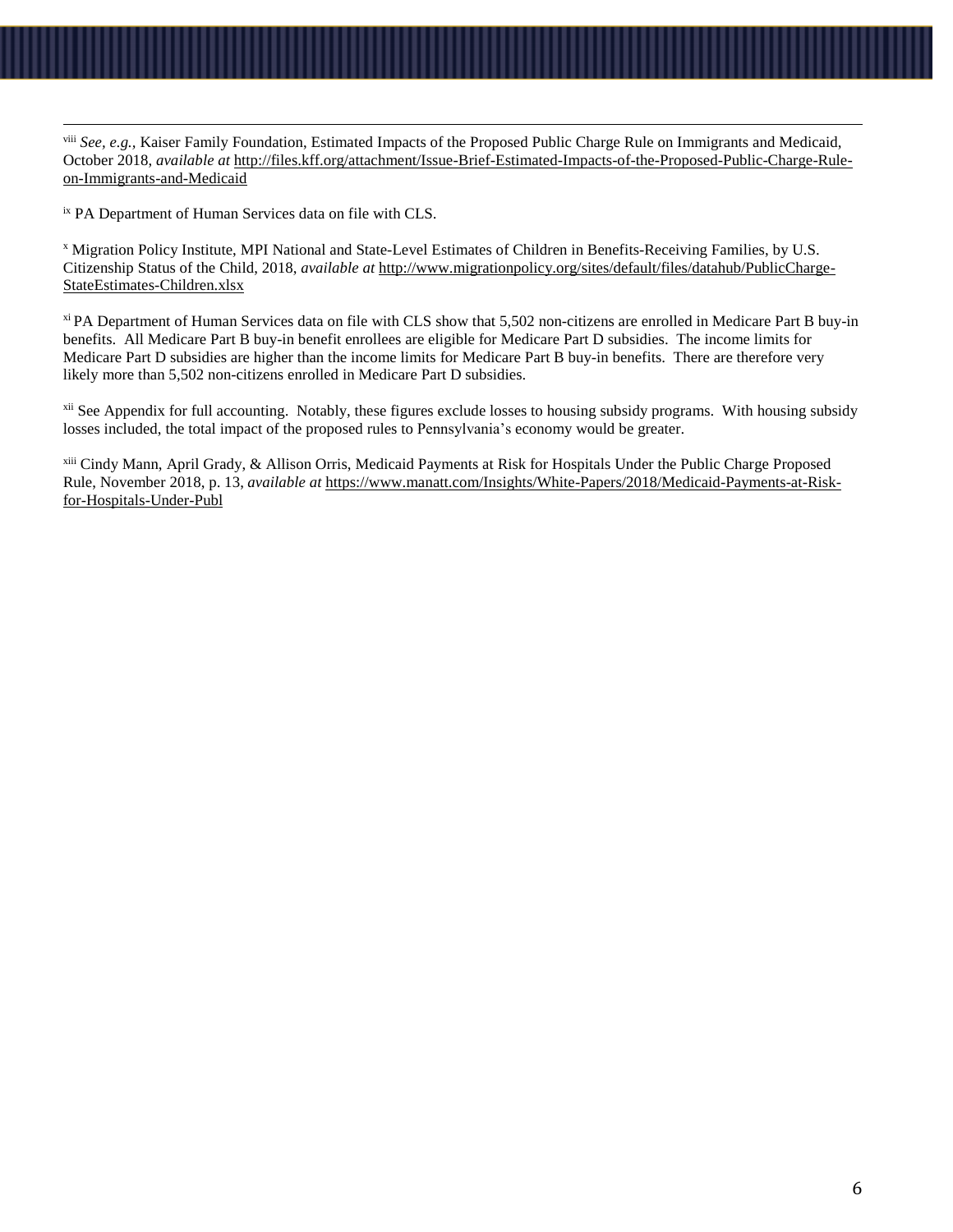viii *See, e.g.,* Kaiser Family Foundation, Estimated Impacts of the Proposed Public Charge Rule on Immigrants and Medicaid, October 2018, *available at* [http://files.kff.org/attachment/Issue-Brief-Estimated-Impacts-of-the-Proposed-Public-Charge-Rule](http://files.kff.org/attachment/Issue-Brief-Estimated-Impacts-of-the-Proposed-Public-Charge-Rule-on-Immigrants-and-Medicaid)[on-Immigrants-and-Medicaid](http://files.kff.org/attachment/Issue-Brief-Estimated-Impacts-of-the-Proposed-Public-Charge-Rule-on-Immigrants-and-Medicaid)

ix PA Department of Human Services data on file with CLS.

 $\overline{a}$ 

<sup>x</sup> Migration Policy Institute, MPI National and State-Level Estimates of Children in Benefits-Receiving Families, by U.S. Citizenship Status of the Child, 2018, *available at* [http://www.migrationpolicy.org/sites/default/files/datahub/PublicCharge-](http://www.migrationpolicy.org/sites/default/files/datahub/PublicCharge-StateEstimates-Children.xlsx)[StateEstimates-Children.xlsx](http://www.migrationpolicy.org/sites/default/files/datahub/PublicCharge-StateEstimates-Children.xlsx)

xi PA Department of Human Services data on file with CLS show that 5,502 non-citizens are enrolled in Medicare Part B buy-in benefits. All Medicare Part B buy-in benefit enrollees are eligible for Medicare Part D subsidies. The income limits for Medicare Part D subsidies are higher than the income limits for Medicare Part B buy-in benefits. There are therefore very likely more than 5,502 non-citizens enrolled in Medicare Part D subsidies.

<sup>xii</sup> See Appendix for full accounting. Notably, these figures exclude losses to housing subsidy programs. With housing subsidy losses included, the total impact of the proposed rules to Pennsylvania's economy would be greater.

xiii Cindy Mann, April Grady, & Allison Orris, Medicaid Payments at Risk for Hospitals Under the Public Charge Proposed Rule, November 2018, p. 13, *available at* [https://www.manatt.com/Insights/White-Papers/2018/Medicaid-Payments-at-Risk](https://www.manatt.com/Insights/White-Papers/2018/Medicaid-Payments-at-Risk-for-Hospitals-Under-Publ)[for-Hospitals-Under-Publ](https://www.manatt.com/Insights/White-Papers/2018/Medicaid-Payments-at-Risk-for-Hospitals-Under-Publ)